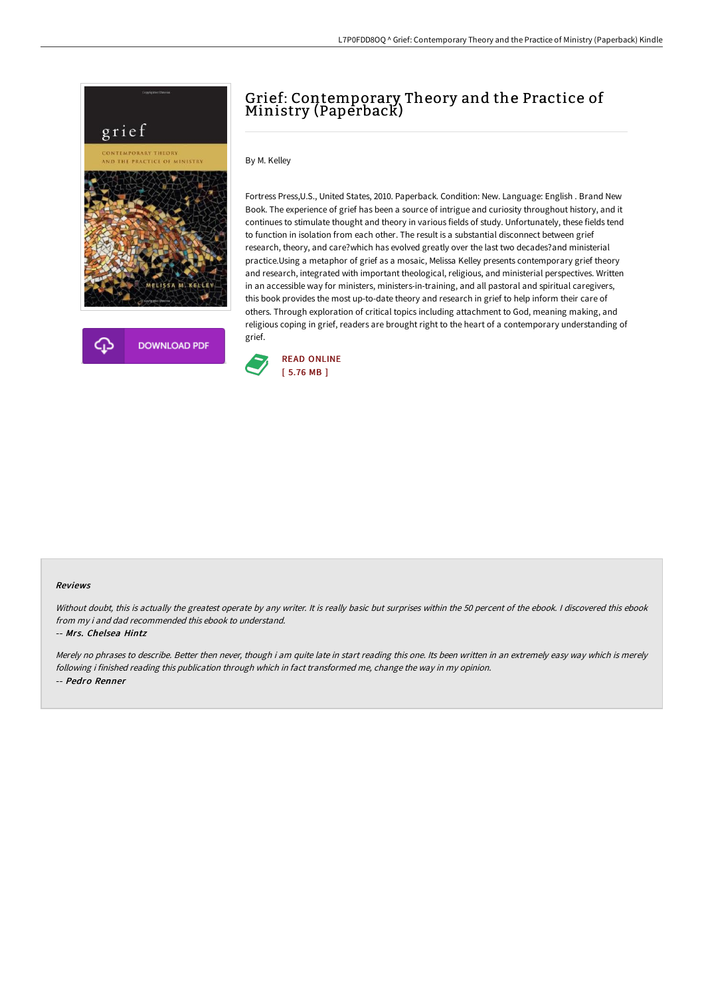

## Grief: Contemporary Theory and the Practice of Ministry (Paperback)

By M. Kelley

Fortress Press,U.S., United States, 2010. Paperback. Condition: New. Language: English . Brand New Book. The experience of grief has been a source of intrigue and curiosity throughout history, and it continues to stimulate thought and theory in various fields of study. Unfortunately, these fields tend to function in isolation from each other. The result is a substantial disconnect between grief research, theory, and care?which has evolved greatly over the last two decades?and ministerial practice.Using a metaphor of grief as a mosaic, Melissa Kelley presents contemporary grief theory and research, integrated with important theological, religious, and ministerial perspectives. Written in an accessible way for ministers, ministers-in-training, and all pastoral and spiritual caregivers, this book provides the most up-to-date theory and research in grief to help inform their care of others. Through exploration of critical topics including attachment to God, meaning making, and religious coping in grief, readers are brought right to the heart of a contemporary understanding of grief.



## Reviews

Without doubt, this is actually the greatest operate by any writer. It is really basic but surprises within the 50 percent of the ebook. I discovered this ebook from my i and dad recommended this ebook to understand.

## -- Mrs. Chelsea Hintz

Merely no phrases to describe. Better then never, though i am quite late in start reading this one. Its been written in an extremely easy way which is merely following i finished reading this publication through which in fact transformed me, change the way in my opinion. -- Pedro Renner